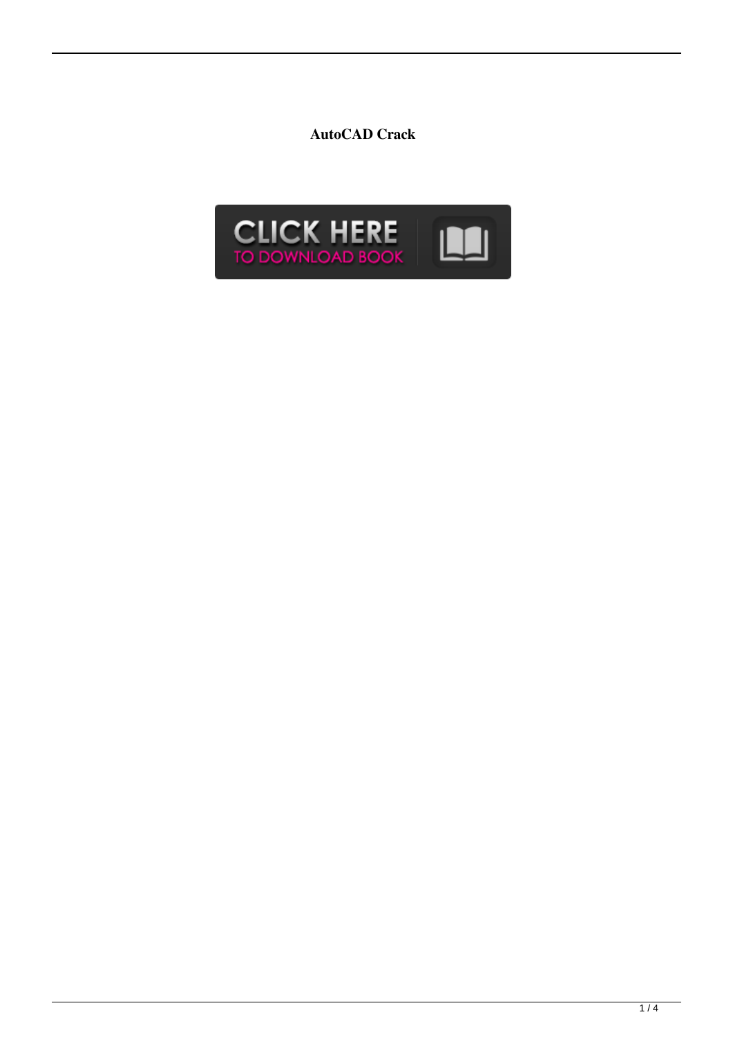**AutoCAD Crack**

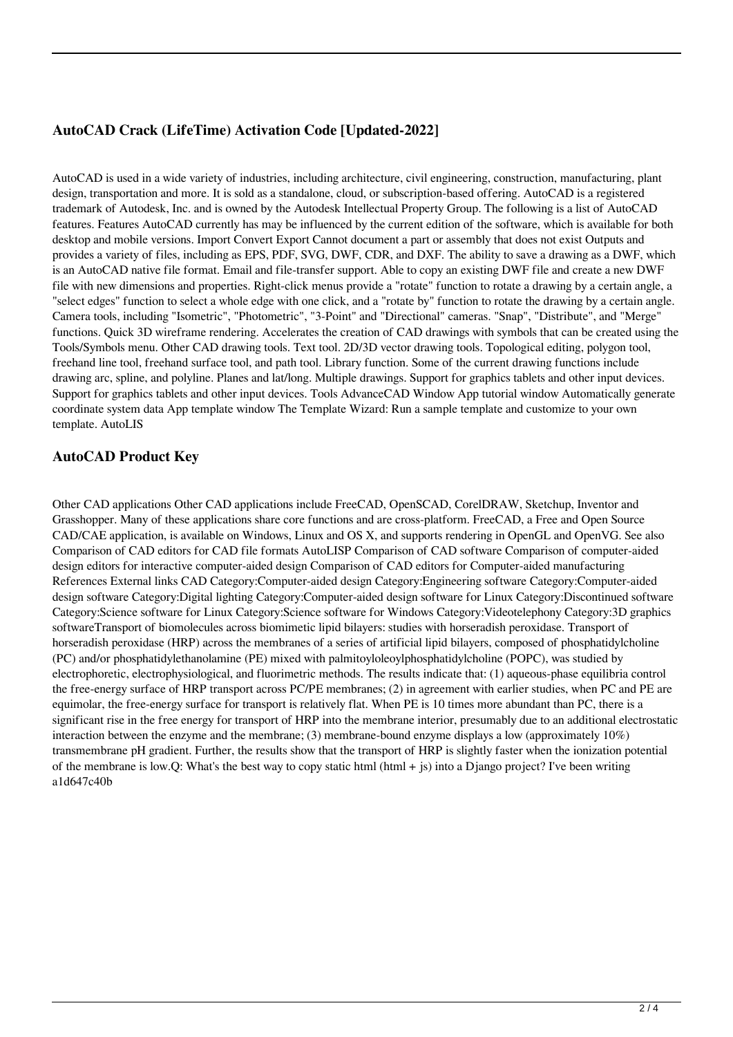## **AutoCAD Crack (LifeTime) Activation Code [Updated-2022]**

AutoCAD is used in a wide variety of industries, including architecture, civil engineering, construction, manufacturing, plant design, transportation and more. It is sold as a standalone, cloud, or subscription-based offering. AutoCAD is a registered trademark of Autodesk, Inc. and is owned by the Autodesk Intellectual Property Group. The following is a list of AutoCAD features. Features AutoCAD currently has may be influenced by the current edition of the software, which is available for both desktop and mobile versions. Import Convert Export Cannot document a part or assembly that does not exist Outputs and provides a variety of files, including as EPS, PDF, SVG, DWF, CDR, and DXF. The ability to save a drawing as a DWF, which is an AutoCAD native file format. Email and file-transfer support. Able to copy an existing DWF file and create a new DWF file with new dimensions and properties. Right-click menus provide a "rotate" function to rotate a drawing by a certain angle, a "select edges" function to select a whole edge with one click, and a "rotate by" function to rotate the drawing by a certain angle. Camera tools, including "Isometric", "Photometric", "3-Point" and "Directional" cameras. "Snap", "Distribute", and "Merge" functions. Quick 3D wireframe rendering. Accelerates the creation of CAD drawings with symbols that can be created using the Tools/Symbols menu. Other CAD drawing tools. Text tool. 2D/3D vector drawing tools. Topological editing, polygon tool, freehand line tool, freehand surface tool, and path tool. Library function. Some of the current drawing functions include drawing arc, spline, and polyline. Planes and lat/long. Multiple drawings. Support for graphics tablets and other input devices. Support for graphics tablets and other input devices. Tools AdvanceCAD Window App tutorial window Automatically generate coordinate system data App template window The Template Wizard: Run a sample template and customize to your own template. AutoLIS

### **AutoCAD Product Key**

Other CAD applications Other CAD applications include FreeCAD, OpenSCAD, CorelDRAW, Sketchup, Inventor and Grasshopper. Many of these applications share core functions and are cross-platform. FreeCAD, a Free and Open Source CAD/CAE application, is available on Windows, Linux and OS X, and supports rendering in OpenGL and OpenVG. See also Comparison of CAD editors for CAD file formats AutoLISP Comparison of CAD software Comparison of computer-aided design editors for interactive computer-aided design Comparison of CAD editors for Computer-aided manufacturing References External links CAD Category:Computer-aided design Category:Engineering software Category:Computer-aided design software Category:Digital lighting Category:Computer-aided design software for Linux Category:Discontinued software Category:Science software for Linux Category:Science software for Windows Category:Videotelephony Category:3D graphics softwareTransport of biomolecules across biomimetic lipid bilayers: studies with horseradish peroxidase. Transport of horseradish peroxidase (HRP) across the membranes of a series of artificial lipid bilayers, composed of phosphatidylcholine (PC) and/or phosphatidylethanolamine (PE) mixed with palmitoyloleoylphosphatidylcholine (POPC), was studied by electrophoretic, electrophysiological, and fluorimetric methods. The results indicate that: (1) aqueous-phase equilibria control the free-energy surface of HRP transport across PC/PE membranes; (2) in agreement with earlier studies, when PC and PE are equimolar, the free-energy surface for transport is relatively flat. When PE is 10 times more abundant than PC, there is a significant rise in the free energy for transport of HRP into the membrane interior, presumably due to an additional electrostatic interaction between the enzyme and the membrane; (3) membrane-bound enzyme displays a low (approximately 10%) transmembrane pH gradient. Further, the results show that the transport of HRP is slightly faster when the ionization potential of the membrane is low.Q: What's the best way to copy static html (html  $+$  js) into a Django project? I've been writing a1d647c40b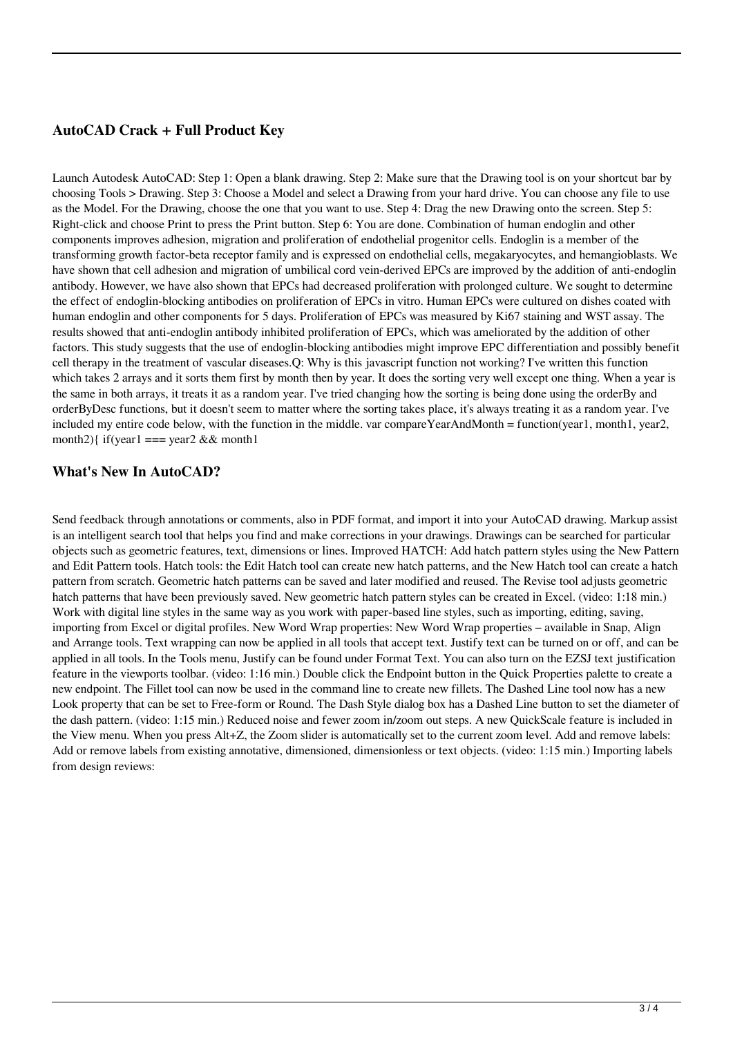#### **AutoCAD Crack + Full Product Key**

Launch Autodesk AutoCAD: Step 1: Open a blank drawing. Step 2: Make sure that the Drawing tool is on your shortcut bar by choosing Tools > Drawing. Step 3: Choose a Model and select a Drawing from your hard drive. You can choose any file to use as the Model. For the Drawing, choose the one that you want to use. Step 4: Drag the new Drawing onto the screen. Step 5: Right-click and choose Print to press the Print button. Step 6: You are done. Combination of human endoglin and other components improves adhesion, migration and proliferation of endothelial progenitor cells. Endoglin is a member of the transforming growth factor-beta receptor family and is expressed on endothelial cells, megakaryocytes, and hemangioblasts. We have shown that cell adhesion and migration of umbilical cord vein-derived EPCs are improved by the addition of anti-endoglin antibody. However, we have also shown that EPCs had decreased proliferation with prolonged culture. We sought to determine the effect of endoglin-blocking antibodies on proliferation of EPCs in vitro. Human EPCs were cultured on dishes coated with human endoglin and other components for 5 days. Proliferation of EPCs was measured by Ki67 staining and WST assay. The results showed that anti-endoglin antibody inhibited proliferation of EPCs, which was ameliorated by the addition of other factors. This study suggests that the use of endoglin-blocking antibodies might improve EPC differentiation and possibly benefit cell therapy in the treatment of vascular diseases.Q: Why is this javascript function not working? I've written this function which takes 2 arrays and it sorts them first by month then by year. It does the sorting very well except one thing. When a year is the same in both arrays, it treats it as a random year. I've tried changing how the sorting is being done using the orderBy and orderByDesc functions, but it doesn't seem to matter where the sorting takes place, it's always treating it as a random year. I've included my entire code below, with the function in the middle. var compareYearAndMonth = function(year1, month1, year2, month2){ if(year1 === year2 && month1

#### **What's New In AutoCAD?**

Send feedback through annotations or comments, also in PDF format, and import it into your AutoCAD drawing. Markup assist is an intelligent search tool that helps you find and make corrections in your drawings. Drawings can be searched for particular objects such as geometric features, text, dimensions or lines. Improved HATCH: Add hatch pattern styles using the New Pattern and Edit Pattern tools. Hatch tools: the Edit Hatch tool can create new hatch patterns, and the New Hatch tool can create a hatch pattern from scratch. Geometric hatch patterns can be saved and later modified and reused. The Revise tool adjusts geometric hatch patterns that have been previously saved. New geometric hatch pattern styles can be created in Excel. (video: 1:18 min.) Work with digital line styles in the same way as you work with paper-based line styles, such as importing, editing, saving, importing from Excel or digital profiles. New Word Wrap properties: New Word Wrap properties – available in Snap, Align and Arrange tools. Text wrapping can now be applied in all tools that accept text. Justify text can be turned on or off, and can be applied in all tools. In the Tools menu, Justify can be found under Format Text. You can also turn on the EZSJ text justification feature in the viewports toolbar. (video: 1:16 min.) Double click the Endpoint button in the Quick Properties palette to create a new endpoint. The Fillet tool can now be used in the command line to create new fillets. The Dashed Line tool now has a new Look property that can be set to Free-form or Round. The Dash Style dialog box has a Dashed Line button to set the diameter of the dash pattern. (video: 1:15 min.) Reduced noise and fewer zoom in/zoom out steps. A new QuickScale feature is included in the View menu. When you press Alt+Z, the Zoom slider is automatically set to the current zoom level. Add and remove labels: Add or remove labels from existing annotative, dimensioned, dimensionless or text objects. (video: 1:15 min.) Importing labels from design reviews: